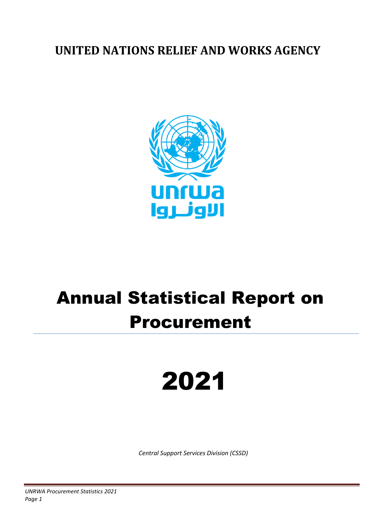### **UNITED NATIONS RELIEF AND WORKS AGENCY**



## Annual Statistical Report on Procurement

# 2021

*Central Support Services Division (CSSD)*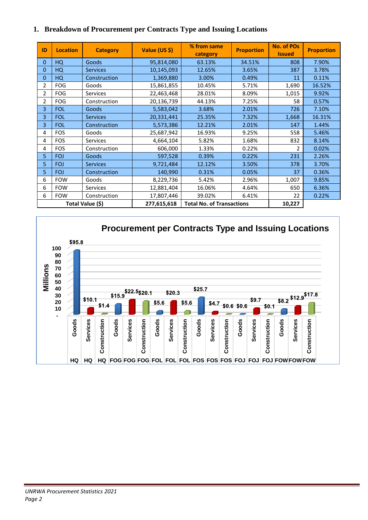|  |  | 1. Breakdown of Procurement per Contracts Type and Issuing Locations |  |  |  |  |
|--|--|----------------------------------------------------------------------|--|--|--|--|
|--|--|----------------------------------------------------------------------|--|--|--|--|

| ID             | <b>Location</b> | <b>Category</b>  | Value (US \$) | % from same<br>category          | <b>Proportion</b> | <b>No. of POs</b><br><b>Issued</b> | <b>Proportion</b> |
|----------------|-----------------|------------------|---------------|----------------------------------|-------------------|------------------------------------|-------------------|
| $\Omega$       | HQ              | Goods            | 95,814,080    | 63.13%                           | 34.51%            | 808                                | 7.90%             |
| 0              | HQ              | <b>Services</b>  | 10,145,093    | 12.65%                           | 3.65%             | 387                                | 3.78%             |
| $\mathbf{0}$   | HQ              | Construction     | 1,369,880     | 3.00%                            | 0.49%             | 11                                 | 0.11%             |
| 2              | <b>FOG</b>      | Goods            | 15,861,855    | 10.45%                           | 5.71%             | 1,690                              | 16.52%            |
| $\overline{2}$ | <b>FOG</b>      | Services         | 22,463,468    | 28.01%                           | 8.09%             | 1,015                              | 9.92%             |
| $\overline{2}$ | <b>FOG</b>      | Construction     | 20,136,739    | 44.13%                           | 7.25%             | 58                                 | 0.57%             |
| 3              | <b>FOL</b>      | Goods            | 5,583,042     | 3.68%                            | 2.01%             | 726                                | 7.10%             |
| 3              | <b>FOL</b>      | <b>Services</b>  | 20,331,441    | 25.35%                           | 7.32%             | 1,668                              | 16.31%            |
| 3              | <b>FOL</b>      | Construction     | 5,573,386     | 12.21%                           | 2.01%             | 147                                | 1.44%             |
| 4              | <b>FOS</b>      | Goods            | 25,687,942    | 16.93%                           | 9.25%             | 558                                | 5.46%             |
| 4              | <b>FOS</b>      | <b>Services</b>  | 4,664,104     | 5.82%                            | 1.68%             | 832                                | 8.14%             |
| 4              | <b>FOS</b>      | Construction     | 606,000       | 1.33%                            | 0.22%             | $\mathfrak{p}$                     | 0.02%             |
| 5              | <b>FOJ</b>      | Goods            | 597,528       | 0.39%                            | 0.22%             | 231                                | 2.26%             |
| 5              | <b>FOJ</b>      | <b>Services</b>  | 9,721,484     | 12.12%                           | 3.50%             | 378                                | 3.70%             |
| 5              | <b>FOJ</b>      | Construction     | 140,990       | 0.31%                            | 0.05%             | 37                                 | 0.36%             |
| 6              | <b>FOW</b>      | Goods            | 8,229,736     | 5.42%                            | 2.96%             | 1,007                              | 9.85%             |
| 6              | <b>FOW</b>      | Services         | 12,881,404    | 16.06%                           | 4.64%             | 650                                | 6.36%             |
| 6              | <b>FOW</b>      | Construction     | 17,807,446    | 39.02%                           | 6.41%             | 22                                 | 0.22%             |
|                |                 | Total Value (\$) | 277,615,618   | <b>Total No. of Transactions</b> |                   | 10,227                             |                   |

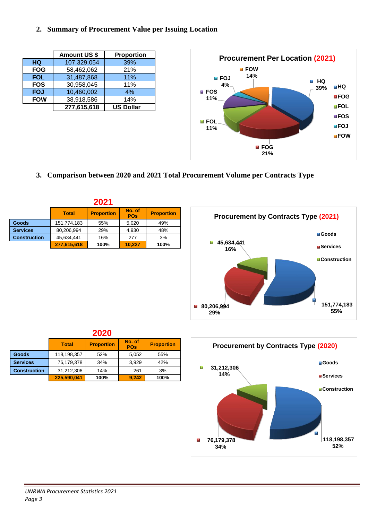#### **2. Summary of Procurement Value per Issuing Location**

|            | <b>Amount US \$</b> | Proportion       |
|------------|---------------------|------------------|
| <b>HQ</b>  | 107,329,054         | 39%              |
| <b>FOG</b> | 58,462,062          | 21%              |
| <b>FOL</b> | 31,487,868          | 11%              |
| <b>FOS</b> | 30,958,045          | 11%              |
| <b>FOJ</b> | 10,460,002          | 4%               |
| <b>FOW</b> | 38,918,586          | 14%              |
|            | 277,615,618         | <b>US Dollar</b> |



**3. Comparison between 2020 and 2021 Total Procurement Volume per Contracts Type**

|                     | 2021                                                                           |      |        |      |  |  |  |  |
|---------------------|--------------------------------------------------------------------------------|------|--------|------|--|--|--|--|
|                     | No. of<br><b>Proportion</b><br><b>Proportion</b><br><b>Total</b><br><b>POs</b> |      |        |      |  |  |  |  |
| Goods               | 151,774,183                                                                    | 55%  | 5,020  | 49%  |  |  |  |  |
| <b>Services</b>     | 80,206,994                                                                     | 29%  | 4,930  | 48%  |  |  |  |  |
| <b>Construction</b> | 45,634,441                                                                     | 16%  | 277    | 3%   |  |  |  |  |
|                     | 277,615,618                                                                    | 100% | 10.227 | 100% |  |  |  |  |





| Total       | <b>Proportion</b> | No. of<br><b>POs</b> | <b>Proportion</b> |  |  |  |  |  |  |
|-------------|-------------------|----------------------|-------------------|--|--|--|--|--|--|
| 118,198,357 | 52%               | 5,052                | 55%               |  |  |  |  |  |  |

**2020**

| Goods               | 118,198,357 | 52%  | 5.052 | 55%  |
|---------------------|-------------|------|-------|------|
| <b>Services</b>     | 76,179,378  | 34%  | 3.929 | 42%  |
| <b>Construction</b> | 31,212,306  | 14%  | 261   | 3%   |
|                     | 225.590.041 | 100% | 9.242 | 100% |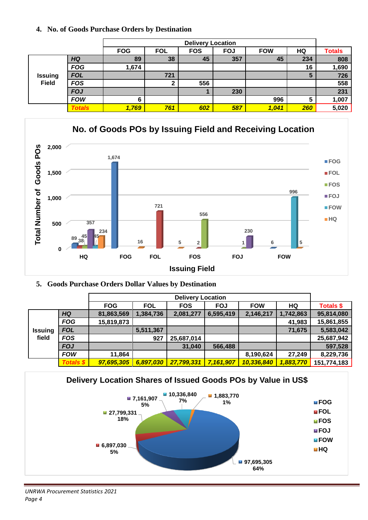#### **4. No. of Goods Purchase Orders by Destination**

|                | <b>Delivery Location</b> |            |            |            |            |            |     |               |
|----------------|--------------------------|------------|------------|------------|------------|------------|-----|---------------|
|                |                          | <b>FOG</b> | <b>FOL</b> | <b>FOS</b> | <b>FOJ</b> | <b>FOW</b> | HQ  | <b>Totals</b> |
|                | <b>HQ</b>                | 89         | 38         | 45         | 357        | 45         | 234 | 808           |
|                | <b>FOG</b>               | 1,674      |            |            |            |            | 16  | 1,690         |
| <b>Issuing</b> | <b>FOL</b>               |            | 721        |            |            |            |     | 726           |
| <b>Field</b>   | <b>FOS</b>               |            | ົ          | 556        |            |            |     | 558           |
|                | <b>FOJ</b>               |            |            |            | 230        |            |     | 231           |
|                | <b>FOW</b>               | 6          |            |            |            | 996        | 5   | 1,007         |
|                | <b>Totals</b>            | 1,769      | 761        | 602        | 587        | 1,041      | 260 | 5,020         |



#### **5. Goods Purchase Orders Dollar Values by Destination**

| <b>Delivery Location</b> |                  |            |            |            |            |            |           |                  |
|--------------------------|------------------|------------|------------|------------|------------|------------|-----------|------------------|
|                          |                  | <b>FOG</b> | <b>FOL</b> | <b>FOS</b> | <b>FOJ</b> | <b>FOW</b> | HQ        | <b>Totals \$</b> |
|                          | <b>HQ</b>        | 81,863,569 | 1,384,736  | 2,081,277  | 6,595,419  | 2,146,217  | 1,742,863 | 95,814,080       |
|                          | <b>FOG</b>       | 15,819,873 |            |            |            |            | 41,983    | 15,861,855       |
| <b>Issuing</b>           | <b>FOL</b>       |            | 5,511,367  |            |            |            | 71,675    | 5,583,042        |
| field                    | <b>FOS</b>       |            | 927        | 25,687,014 |            |            |           | 25,687,942       |
|                          | <b>FOJ</b>       |            |            | 31,040     | 566,488    |            |           | 597,528          |
|                          | <b>FOW</b>       | 11,864     |            |            |            | 8,190,624  | 27,249    | 8,229,736        |
|                          | <b>Totals \$</b> | 97,695,305 | 6,897,030  | 27,799,331 | 7,161,907  | 10,336,840 | 1,883,770 | 151,774,183      |



#### *UNRWA Procurement Statistics 2021 Page 4*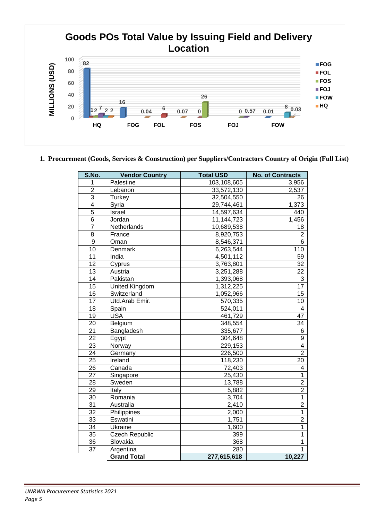

#### **1. Procurement (Goods, Services & Construction) per Suppliers/Contractors Country of Origin (Full List)**

| S.No.          | <b>Vendor Country</b> | <b>Total USD</b> | <b>No. of Contracts</b> |
|----------------|-----------------------|------------------|-------------------------|
| 1              | Palestine             | 103,108,605      | 3,956                   |
| $\overline{2}$ | Lebanon               | 33,572,130       | 2,537                   |
| 3              | <b>Turkey</b>         | 32,504,550       | 26                      |
| $\overline{4}$ | Syria                 | 29,744,461       | 1,373                   |
| $\overline{5}$ | Israel                | 14,597,634       | 440                     |
| $\overline{6}$ | Jordan                | 11,144,723       | 1,456                   |
| $\overline{7}$ | Netherlands           | 10,689,538       | 18                      |
| 8              | France                | 8,920,753        | 2                       |
| 9              | Oman                  | 8,546,371        | 6                       |
| 10             | Denmark               | 6,263,544        | 110                     |
| 11             | India                 | 4,501,112        | 59                      |
| 12             | Cyprus                | 3,763,801        | 32                      |
| 13             | Austria               | 3,251,288        | 22                      |
| 14             | Pakistan              | 1,393,068        | 3                       |
| 15             | United Kingdom        | 1,312,225        | 17                      |
| 16             | Switzerland           | 1,052,966        | 15                      |
| 17             | Utd.Arab Emir.        | 570,335          | 10                      |
| 18             | Spain                 | 524,011          | $\overline{4}$          |
| 19             | <b>USA</b>            | 461,729          | 47                      |
| 20             | Belgium               | 348,554          | 34                      |
| 21             | Bangladesh            | 335,677          | 6                       |
| 22             | Egypt                 | 304,648          | 9                       |
| 23             | Norway                | 229,153          | $\overline{4}$          |
| 24             | Germany               | 226,500          | $\overline{2}$          |
| 25             | Ireland               | 118,230          | 20                      |
| 26             | Canada                | 72,403           | 4                       |
| 27             | Singapore             | 25,430           | $\mathbf 1$             |
| 28             | Sweden                | 13,788           | $\overline{2}$          |
| 29             | Italy                 | 5,882            | $\overline{2}$          |
| 30             | Romania               | 3,704            | 1                       |
| 31             | Australia             | 2,410            | $\overline{2}$          |
| 32             | Philippines           | 2,000            | $\mathbf{1}$            |
| 33             | Eswatini              | 1,751            | $\overline{2}$          |
| 34             | Ukraine               | 1,600            | 1                       |
| 35             | <b>Czech Republic</b> | 399              | 1                       |
| 36             | Slovakia              | 368              | 1                       |
| 37             | Argentina             | 280              | 1                       |
|                | <b>Grand Total</b>    | 277,615,618      | 10,227                  |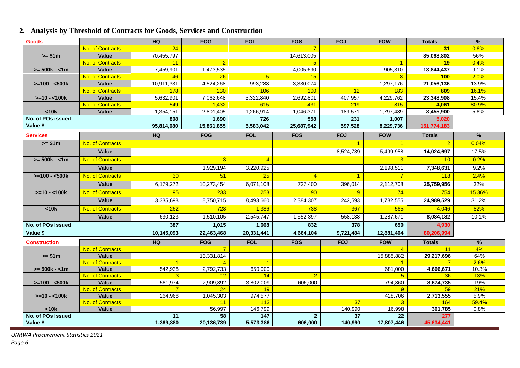#### **2. Analysis by Threshold of Contracts for Goods, Services and Construction**

| <b>Goods</b>        |                           | HQ                   | <b>FOG</b>      | <b>FOL</b>                   | <b>FOS</b>     | <b>FOJ</b>           | <b>FOW</b>           | <b>Totals</b>   | %             |
|---------------------|---------------------------|----------------------|-----------------|------------------------------|----------------|----------------------|----------------------|-----------------|---------------|
|                     | No. of Contracts          | 24                   |                 |                              | $\overline{7}$ |                      |                      | 31              | 0.6%          |
| $>= $1m$            | Value                     | 70,455,797           |                 |                              | 14,613,005     |                      |                      | 85,068,802      | 56%           |
|                     | No. of Contracts          | 11                   | $\overline{2}$  |                              | 5              |                      | $\overline{1}$       | 19              | 0.4%          |
| $>= 500k - 1m$      | Value                     | 7,459,901            | 1,473,535       |                              | 4,005,690      |                      | 905,310              | 13,844,437      | 9.1%          |
|                     | No. of Contracts          | 46                   | 26              | $5\overline{)}$              | 15             |                      | 8                    | <b>100</b>      | 2.0%          |
| $>=100 - 500k$      | Value                     | 10,911,331           | 4,524,268       | 993,288                      | 3,330,074      |                      | 1,297,176            | 21,056,136      | 13.9%         |
|                     | No. of Contracts          | <b>178</b>           | 230             | 106                          | 100            | 12                   | <b>183</b>           | 809             | 16.1%         |
| $>=10 - 100k$       | Value                     | 5,632,901            | 7,062,648       | 3,322,840                    | 2,692,801      | 407,957              | 4,229,762            | 23,348,908      | 15.4%         |
|                     | No. of Contracts          | 549                  | 1,432           | 615                          | 431            | 219                  | 815                  | 4,061           | 80.9%         |
| < 10k               | Value                     | 1,354,151            | 2,801,405       | 1,266,914                    | 1,046,371      | 189,571              | 1,797,489            | 8,455,900       | 5.6%          |
| No. of POs issued   |                           | 808                  | 1.690           | 726                          | 558            | 231                  | 1.007                | 5.020           |               |
| Value \$            |                           | 95,814,080           | 15,861,855      | 5,583,042                    | 25,687,942     | 597,528              | 8,229,736            | 151,774,183     |               |
| <b>Services</b>     |                           | <b>HQ</b>            | <b>FOG</b>      | <b>FOL</b>                   | <b>FOS</b>     | <b>FOJ</b>           | <b>FOW</b>           | <b>Totals</b>   | $\frac{9}{6}$ |
| $>= $1m$            | No. of Contracts          |                      |                 |                              |                | $\blacktriangleleft$ | $\blacktriangleleft$ | $\overline{2}$  | 0.04%         |
|                     | Value                     |                      |                 |                              |                | 8,524,739            | 5,499,958            | 14,024,697      | 17.5%         |
| $>= 500k - 1m$      | No. of Contracts          |                      | 3               | $\overline{4}$               |                |                      | 3                    | 10              | 0.2%          |
|                     | Value                     |                      | 1,929,194       | 3,220,925                    |                |                      | 2,198,511            | 7,348,631       | 9.2%          |
| $>=100 - 500k$      | No. of Contracts          | 30                   | 51              | 25                           | $\overline{4}$ | $\overline{1}$       | $\overline{7}$       | 118             | 2.4%          |
|                     | Value                     | 6,179,272            | 10,273,454      | 6,071,108                    | 727,400        | 396,014              | 2,112,708            | 25,759,956      | 32%           |
| $>=10 - 100k$       | No. of Contracts          | 95                   | 233             | 253                          | 90             | 9 <sup>°</sup>       | 74                   | 754             | 15.36%        |
|                     | Value                     | 3,335,698            | 8,750,715       | 8,493,660                    | 2,384,307      | 242,593              | 1,782,555            | 24,989,529      | 31.2%         |
| <10k                | No. of Contracts          | 262                  | 728             | 1,386                        | 738            | 367                  | 565                  | 4,046           | 82%           |
|                     | Value                     | 630,123              | 1,510,105       | 2,545,747                    | 1,552,397      | 558,138              | 1,287,671            | 8,084,182       | 10.1%         |
| No. of POs Issued   |                           | 387                  | 1,015           | 1,668                        | 832            | 378                  | 650                  | 4,930           |               |
| Value \$            |                           | 10,145,093           | 22,463,468      | 20,331,441                   | 4,664,104      | 9,721,484            | 12,881,404           | 80,206,994      |               |
| <b>Construction</b> |                           | <b>HQ</b>            | <b>FOG</b>      | <b>FOL</b>                   | <b>FOS</b>     | <b>FOJ</b>           | <b>FOW</b>           | <b>Totals</b>   | $\frac{9}{6}$ |
|                     | No. of Contracts          |                      | $\overline{7}$  |                              |                |                      | $\overline{4}$       | 11              | 4%            |
| $>= $1m$            | Value                     |                      | 13,331,814      |                              |                |                      | 15,885,882           | 29,217,696      | 64%           |
|                     | No. of Contracts          |                      |                 |                              |                |                      |                      | $7^{\circ}$     | 2.6%          |
| $>= 500k - < 1m$    | Value                     | $\overline{542,938}$ | 2,792,733       | 650,000                      |                |                      | 681,000              | 4,666,671       | 10.3%         |
|                     | No. of Contracts          | 3                    | 12 <sup>2</sup> | 14                           | $\overline{2}$ |                      | 5 <sup>5</sup>       | 36 <sup>°</sup> | 13%           |
| $>=100 - 500k$      | Value<br>No. of Contracts | 561,974<br>7         | 2,909,892<br>24 | 3,802,009<br>19 <sup>°</sup> | 606,000        |                      | 794,860<br>9         | 8,674,735<br>59 | 19%<br>21%    |
| $>=10 - 100k$       | Value                     | 264.968              | 1,045,303       | 974,577                      |                |                      | 428,706              | 2,713,555       | 5.9%          |
|                     | No. of Contracts          |                      | 11              | 113                          |                | 37                   | 3                    | 164             | 59.4%         |
| $10k$               | Value                     |                      | 56,997          | 146,799                      |                | 140,990              | 16,998               | 361,785         | 0.8%          |
| No. of POs Issued   |                           | 11                   | 58              | 147                          | $\overline{2}$ | 37                   | 22                   | 277             |               |
| Value \$            |                           | 1,369,880            | 20,136,739      | 5,573,386                    | 606,000        | 140,990              | 17,807,446           | 45,634,441      |               |

*UNRWA Procurement Statistics 2021 Page 6*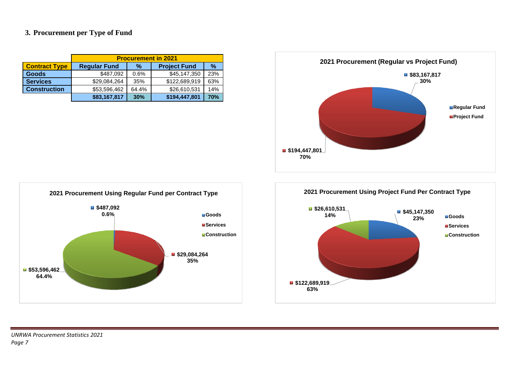#### **3. Procurement per Type of Fund**

|                      | <b>Procurement in 2021</b> |       |                     |               |  |  |  |  |
|----------------------|----------------------------|-------|---------------------|---------------|--|--|--|--|
| <b>Contract Type</b> | <b>Regular Fund</b>        | %     | <b>Project Fund</b> | $\frac{9}{6}$ |  |  |  |  |
| <b>Goods</b>         | \$487,092                  | 0.6%  | \$45,147,350        | 23%           |  |  |  |  |
| <b>Services</b>      | \$29,084,264               | 35%   | \$122,689,919       | 63%           |  |  |  |  |
| <b>Construction</b>  | \$53,596,462               | 64.4% | \$26,610,531        | 14%           |  |  |  |  |
|                      | \$83,167,817               | 30%   | \$194,447,801       | 70%           |  |  |  |  |





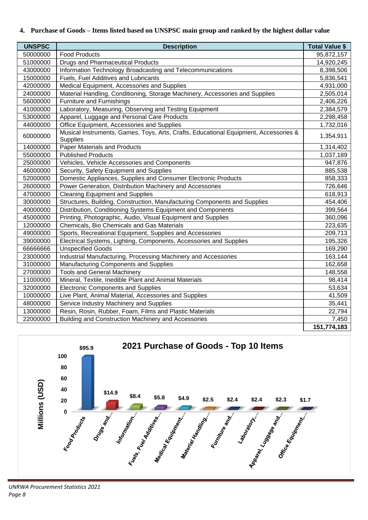#### **4. Purchase of Goods – Items listed based on UNSPSC main group and ranked by the highest dollar value**

| <b>UNSPSC</b> | <b>Description</b>                                                                               | <b>Total Value \$</b> |
|---------------|--------------------------------------------------------------------------------------------------|-----------------------|
| 50000000      | <b>Food Products</b>                                                                             | 95,872,157            |
| 51000000      | <b>Drugs and Pharmaceutical Products</b>                                                         | 14,920,245            |
| 43000000      | Information Technology Broadcasting and Telecommunications                                       | 8,398,506             |
| 15000000      | Fuels, Fuel Additives and Lubricants                                                             | 5,836,541             |
| 42000000      | Medical Equipment, Accessories and Supplies                                                      | 4,931,000             |
| 24000000      | Material Handling, Conditioning, Storage Machinery, Accessories and Supplies                     | 2,505,014             |
| 56000000      | Furniture and Furnishings                                                                        | 2,406,226             |
| 41000000      | Laboratory, Measuring, Observing and Testing Equipment                                           | 2,384,579             |
| 53000000      | Apparel, Luggage and Personal Care Products                                                      | 2,298,458             |
| 44000000      | Office Equipment, Accessories and Supplies                                                       | 1,732,016             |
| 60000000      | Musical Instruments, Games, Toys, Arts, Crafts, Educational Equipment, Accessories &<br>Supplies | 1,354,911             |
| 14000000      | <b>Paper Materials and Products</b>                                                              | 1,314,402             |
| 55000000      | <b>Published Products</b>                                                                        | 1,037,189             |
| 25000000      | Vehicles, Vehicle Accessories and Components                                                     | 947,876               |
| 46000000      | Security, Safety Equipment and Supplies                                                          | 885,538               |
| 52000000      | Domestic Appliances, Supplies and Consumer Electronic Products                                   | 858,333               |
| 26000000      | Power Generation, Distribution Machinery and Accessories                                         | 726,646               |
| 47000000      | <b>Cleaning Equipment and Supplies</b>                                                           | 618,913               |
| 30000000      | Structures, Building, Construction, Manufacturing Components and Supplies                        | 454,406               |
| 40000000      | Distribution, Conditioning Systems Equipment and Components                                      | 399,564               |
| 45000000      | Printing, Photographic, Audio, Visual Equipment and Supplies                                     | 360,096               |
| 12000000      | Chemicals, Bio Chemicals and Gas Materials                                                       | 223,635               |
| 49000000      | Sports, Recreational Equipment, Supplies and Accessories                                         | 209,713               |
| 39000000      | Electrical Systems, Lighting, Components, Accessories and Supplies                               | 195,326               |
| 6666666       | <b>Unspecified Goods</b>                                                                         | 169,290               |
| 23000000      | Industrial Manufacturing, Processing Machinery and Accessories                                   | 163,144               |
| 31000000      | Manufacturing Components and Supplies                                                            | 162,658               |
| 27000000      | <b>Tools and General Machinery</b>                                                               | 148,558               |
| 11000000      | Mineral, Textile, Inedible Plant and Animal Materials                                            | 98,414                |
| 32000000      | <b>Electronic Components and Supplies</b>                                                        | 53,634                |
| 10000000      | Live Plant, Animal Material, Accessories and Supplies                                            | 41,509                |
| 48000000      | Service Industry Machinery and Supplies                                                          | 35,441                |
| 13000000      | Resin, Rosin, Rubber, Foam, Films and Plastic Materials                                          | 22,794                |
| 22000000      | Building and Construction Machinery and Accessories                                              | 7,450                 |
|               |                                                                                                  | 151,774,183           |